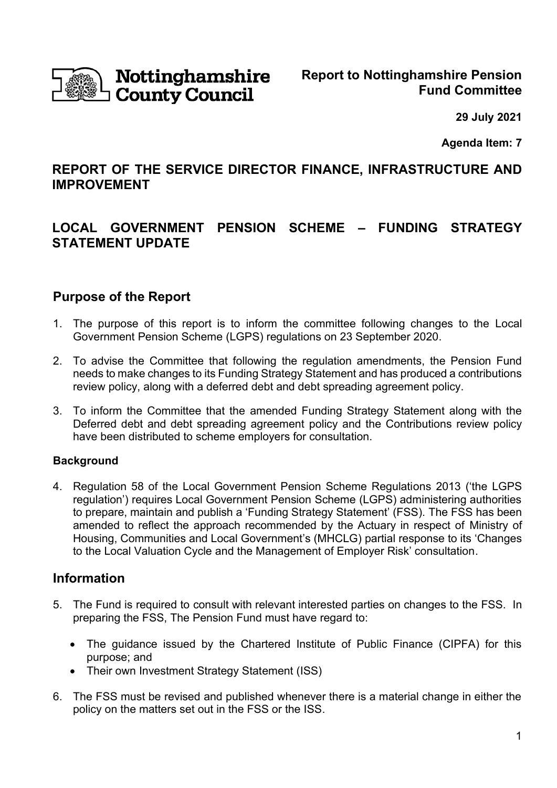

# Nottinghamshire **County Council**

**29 July 2021**

**Agenda Item: 7**

# **REPORT OF THE SERVICE DIRECTOR FINANCE, INFRASTRUCTURE AND IMPROVEMENT**

# **LOCAL GOVERNMENT PENSION SCHEME – FUNDING STRATEGY STATEMENT UPDATE**

# **Purpose of the Report**

- 1. The purpose of this report is to inform the committee following changes to the Local Government Pension Scheme (LGPS) regulations on 23 September 2020.
- 2. To advise the Committee that following the regulation amendments, the Pension Fund needs to make changes to its Funding Strategy Statement and has produced a contributions review policy, along with a deferred debt and debt spreading agreement policy.
- 3. To inform the Committee that the amended Funding Strategy Statement along with the Deferred debt and debt spreading agreement policy and the Contributions review policy have been distributed to scheme employers for consultation.

# **Background**

4. Regulation 58 of the Local Government Pension Scheme Regulations 2013 ('the LGPS regulation') requires Local Government Pension Scheme (LGPS) administering authorities to prepare, maintain and publish a 'Funding Strategy Statement' (FSS). The FSS has been amended to reflect the approach recommended by the Actuary in respect of Ministry of Housing, Communities and Local Government's (MHCLG) partial response to its 'Changes to the Local Valuation Cycle and the Management of Employer Risk' consultation.

# **Information**

- 5. The Fund is required to consult with relevant interested parties on changes to the FSS. In preparing the FSS, The Pension Fund must have regard to:
	- The guidance issued by the Chartered Institute of Public Finance (CIPFA) for this purpose; and
	- Their own Investment Strategy Statement (ISS)
- 6. The FSS must be revised and published whenever there is a material change in either the policy on the matters set out in the FSS or the ISS.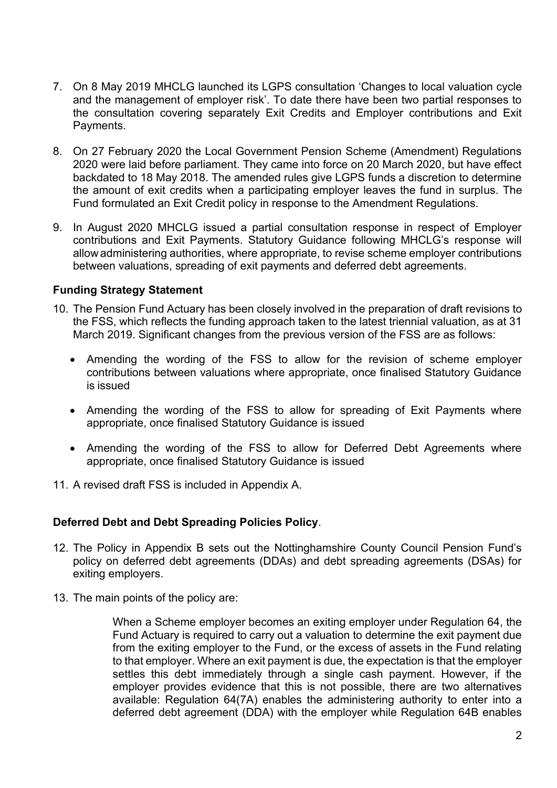- 7. On 8 May 2019 MHCLG launched its LGPS consultation 'Changes to local valuation cycle and the management of employer risk'. To date there have been two partial responses to the consultation covering separately Exit Credits and Employer contributions and Exit Payments.
- 8. On 27 February 2020 the Local Government Pension Scheme (Amendment) Regulations 2020 were laid before parliament. They came into force on 20 March 2020, but have effect backdated to 18 May 2018. The amended rules give LGPS funds a discretion to determine the amount of exit credits when a participating employer leaves the fund in surplus. The Fund formulated an Exit Credit policy in response to the Amendment Regulations.
- 9. In August 2020 MHCLG issued a partial consultation response in respect of Employer contributions and Exit Payments. Statutory Guidance following MHCLG's response will allow administering authorities, where appropriate, to revise scheme employer contributions between valuations, spreading of exit payments and deferred debt agreements.

# **Funding Strategy Statement**

- 10. The Pension Fund Actuary has been closely involved in the preparation of draft revisions to the FSS, which reflects the funding approach taken to the latest triennial valuation, as at 31 March 2019. Significant changes from the previous version of the FSS are as follows:
	- Amending the wording of the FSS to allow for the revision of scheme employer contributions between valuations where appropriate, once finalised Statutory Guidance is issued
	- Amending the wording of the FSS to allow for spreading of Exit Payments where appropriate, once finalised Statutory Guidance is issued
	- Amending the wording of the FSS to allow for Deferred Debt Agreements where appropriate, once finalised Statutory Guidance is issued
- 11. A revised draft FSS is included in Appendix A.

#### **Deferred Debt and Debt Spreading Policies Policy**.

- 12. The Policy in Appendix B sets out the Nottinghamshire County Council Pension Fund's policy on deferred debt agreements (DDAs) and debt spreading agreements (DSAs) for exiting employers.
- 13. The main points of the policy are:

When a Scheme employer becomes an exiting employer under Regulation 64, the Fund Actuary is required to carry out a valuation to determine the exit payment due from the exiting employer to the Fund, or the excess of assets in the Fund relating to that employer. Where an exit payment is due, the expectation is that the employer settles this debt immediately through a single cash payment. However, if the employer provides evidence that this is not possible, there are two alternatives available: Regulation 64(7A) enables the administering authority to enter into a deferred debt agreement (DDA) with the employer while Regulation 64B enables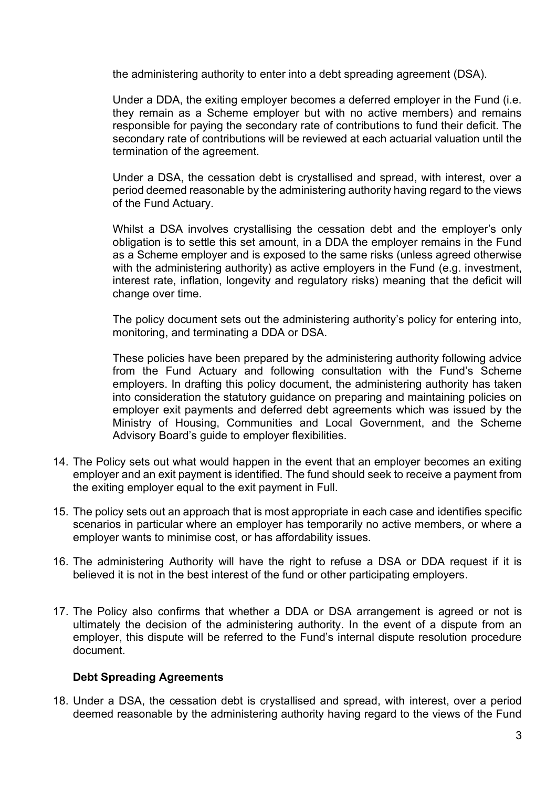the administering authority to enter into a debt spreading agreement (DSA).

Under a DDA, the exiting employer becomes a deferred employer in the Fund (i.e. they remain as a Scheme employer but with no active members) and remains responsible for paying the secondary rate of contributions to fund their deficit. The secondary rate of contributions will be reviewed at each actuarial valuation until the termination of the agreement.

Under a DSA, the cessation debt is crystallised and spread, with interest, over a period deemed reasonable by the administering authority having regard to the views of the Fund Actuary.

Whilst a DSA involves crystallising the cessation debt and the employer's only obligation is to settle this set amount, in a DDA the employer remains in the Fund as a Scheme employer and is exposed to the same risks (unless agreed otherwise with the administering authority) as active employers in the Fund (e.g. investment, interest rate, inflation, longevity and regulatory risks) meaning that the deficit will change over time.

The policy document sets out the administering authority's policy for entering into, monitoring, and terminating a DDA or DSA.

These policies have been prepared by the administering authority following advice from the Fund Actuary and following consultation with the Fund's Scheme employers. In drafting this policy document, the administering authority has taken into consideration the statutory guidance on preparing and maintaining policies on employer exit payments and deferred debt agreements which was issued by the Ministry of Housing, Communities and Local Government, and the Scheme Advisory Board's guide to employer flexibilities.

- 14. The Policy sets out what would happen in the event that an employer becomes an exiting employer and an exit payment is identified. The fund should seek to receive a payment from the exiting employer equal to the exit payment in Full.
- 15. The policy sets out an approach that is most appropriate in each case and identifies specific scenarios in particular where an employer has temporarily no active members, or where a employer wants to minimise cost, or has affordability issues.
- 16. The administering Authority will have the right to refuse a DSA or DDA request if it is believed it is not in the best interest of the fund or other participating employers.
- 17. The Policy also confirms that whether a DDA or DSA arrangement is agreed or not is ultimately the decision of the administering authority. In the event of a dispute from an employer, this dispute will be referred to the Fund's internal dispute resolution procedure document.

#### **Debt Spreading Agreements**

18. Under a DSA, the cessation debt is crystallised and spread, with interest, over a period deemed reasonable by the administering authority having regard to the views of the Fund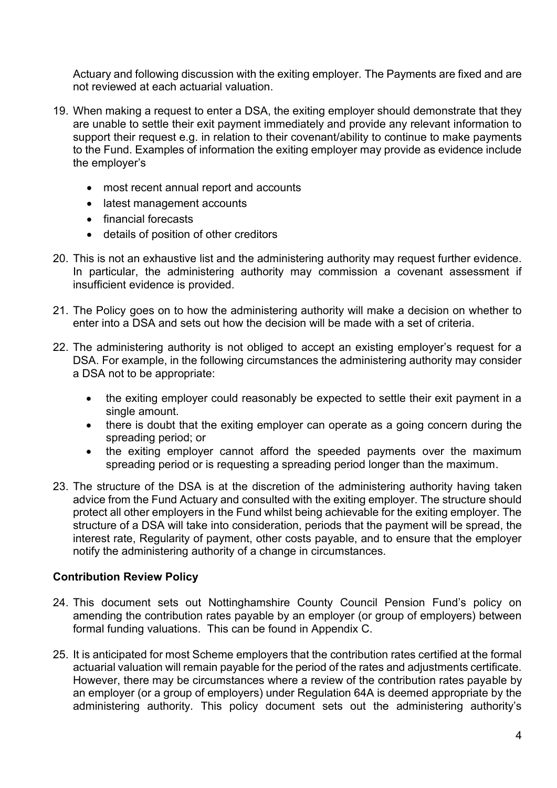Actuary and following discussion with the exiting employer. The Payments are fixed and are not reviewed at each actuarial valuation.

- 19. When making a request to enter a DSA, the exiting employer should demonstrate that they are unable to settle their exit payment immediately and provide any relevant information to support their request e.g. in relation to their covenant/ability to continue to make payments to the Fund. Examples of information the exiting employer may provide as evidence include the employer's
	- most recent annual report and accounts
	- latest management accounts
	- financial forecasts
	- details of position of other creditors
- 20. This is not an exhaustive list and the administering authority may request further evidence. In particular, the administering authority may commission a covenant assessment if insufficient evidence is provided.
- 21. The Policy goes on to how the administering authority will make a decision on whether to enter into a DSA and sets out how the decision will be made with a set of criteria.
- 22. The administering authority is not obliged to accept an existing employer's request for a DSA. For example, in the following circumstances the administering authority may consider a DSA not to be appropriate:
	- the exiting employer could reasonably be expected to settle their exit payment in a single amount.
	- there is doubt that the exiting employer can operate as a going concern during the spreading period; or
	- the exiting employer cannot afford the speeded payments over the maximum spreading period or is requesting a spreading period longer than the maximum.
- 23. The structure of the DSA is at the discretion of the administering authority having taken advice from the Fund Actuary and consulted with the exiting employer. The structure should protect all other employers in the Fund whilst being achievable for the exiting employer. The structure of a DSA will take into consideration, periods that the payment will be spread, the interest rate, Regularity of payment, other costs payable, and to ensure that the employer notify the administering authority of a change in circumstances.

# **Contribution Review Policy**

- 24. This document sets out Nottinghamshire County Council Pension Fund's policy on amending the contribution rates payable by an employer (or group of employers) between formal funding valuations. This can be found in Appendix C.
- 25. It is anticipated for most Scheme employers that the contribution rates certified at the formal actuarial valuation will remain payable for the period of the rates and adjustments certificate. However, there may be circumstances where a review of the contribution rates payable by an employer (or a group of employers) under Regulation 64A is deemed appropriate by the administering authority. This policy document sets out the administering authority's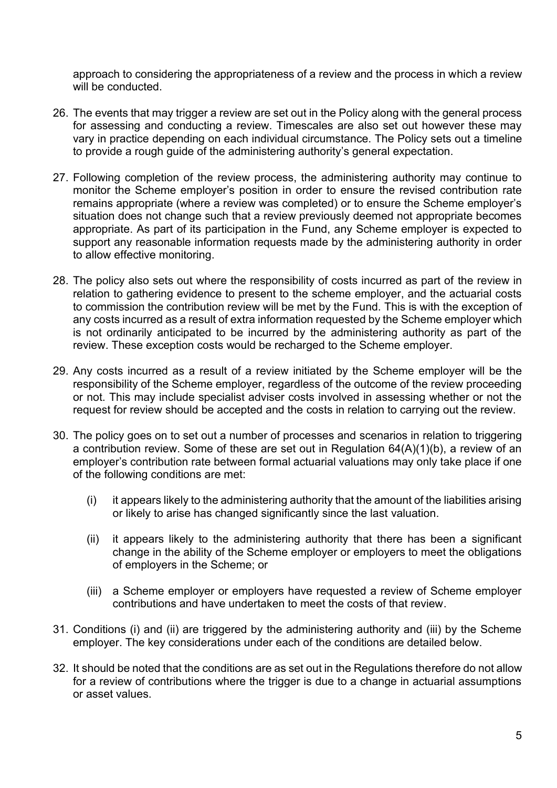approach to considering the appropriateness of a review and the process in which a review will be conducted.

- 26. The events that may trigger a review are set out in the Policy along with the general process for assessing and conducting a review. Timescales are also set out however these may vary in practice depending on each individual circumstance. The Policy sets out a timeline to provide a rough guide of the administering authority's general expectation.
- 27. Following completion of the review process, the administering authority may continue to monitor the Scheme employer's position in order to ensure the revised contribution rate remains appropriate (where a review was completed) or to ensure the Scheme employer's situation does not change such that a review previously deemed not appropriate becomes appropriate. As part of its participation in the Fund, any Scheme employer is expected to support any reasonable information requests made by the administering authority in order to allow effective monitoring.
- 28. The policy also sets out where the responsibility of costs incurred as part of the review in relation to gathering evidence to present to the scheme employer, and the actuarial costs to commission the contribution review will be met by the Fund. This is with the exception of any costs incurred as a result of extra information requested by the Scheme employer which is not ordinarily anticipated to be incurred by the administering authority as part of the review. These exception costs would be recharged to the Scheme employer.
- 29. Any costs incurred as a result of a review initiated by the Scheme employer will be the responsibility of the Scheme employer, regardless of the outcome of the review proceeding or not. This may include specialist adviser costs involved in assessing whether or not the request for review should be accepted and the costs in relation to carrying out the review.
- 30. The policy goes on to set out a number of processes and scenarios in relation to triggering a contribution review. Some of these are set out in Regulation 64(A)(1)(b), a review of an employer's contribution rate between formal actuarial valuations may only take place if one of the following conditions are met:
	- (i) it appears likely to the administering authority that the amount of the liabilities arising or likely to arise has changed significantly since the last valuation.
	- (ii) it appears likely to the administering authority that there has been a significant change in the ability of the Scheme employer or employers to meet the obligations of employers in the Scheme; or
	- (iii) a Scheme employer or employers have requested a review of Scheme employer contributions and have undertaken to meet the costs of that review.
- 31. Conditions (i) and (ii) are triggered by the administering authority and (iii) by the Scheme employer. The key considerations under each of the conditions are detailed below.
- 32. It should be noted that the conditions are as set out in the Regulations therefore do not allow for a review of contributions where the trigger is due to a change in actuarial assumptions or asset values.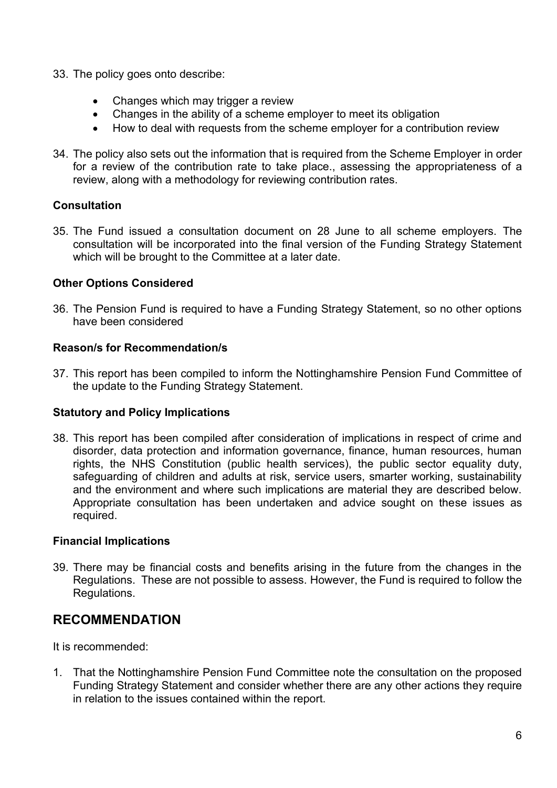- 33. The policy goes onto describe:
	- Changes which may trigger a review
	- Changes in the ability of a scheme employer to meet its obligation
	- How to deal with requests from the scheme employer for a contribution review
- 34. The policy also sets out the information that is required from the Scheme Employer in order for a review of the contribution rate to take place., assessing the appropriateness of a review, along with a methodology for reviewing contribution rates.

# **Consultation**

35. The Fund issued a consultation document on 28 June to all scheme employers. The consultation will be incorporated into the final version of the Funding Strategy Statement which will be brought to the Committee at a later date.

# **Other Options Considered**

36. The Pension Fund is required to have a Funding Strategy Statement, so no other options have been considered

#### **Reason/s for Recommendation/s**

37. This report has been compiled to inform the Nottinghamshire Pension Fund Committee of the update to the Funding Strategy Statement.

# **Statutory and Policy Implications**

38. This report has been compiled after consideration of implications in respect of crime and disorder, data protection and information governance, finance, human resources, human rights, the NHS Constitution (public health services), the public sector equality duty, safeguarding of children and adults at risk, service users, smarter working, sustainability and the environment and where such implications are material they are described below. Appropriate consultation has been undertaken and advice sought on these issues as required.

#### **Financial Implications**

39. There may be financial costs and benefits arising in the future from the changes in the Regulations. These are not possible to assess. However, the Fund is required to follow the Regulations.

# **RECOMMENDATION**

It is recommended:

1. That the Nottinghamshire Pension Fund Committee note the consultation on the proposed Funding Strategy Statement and consider whether there are any other actions they require in relation to the issues contained within the report.